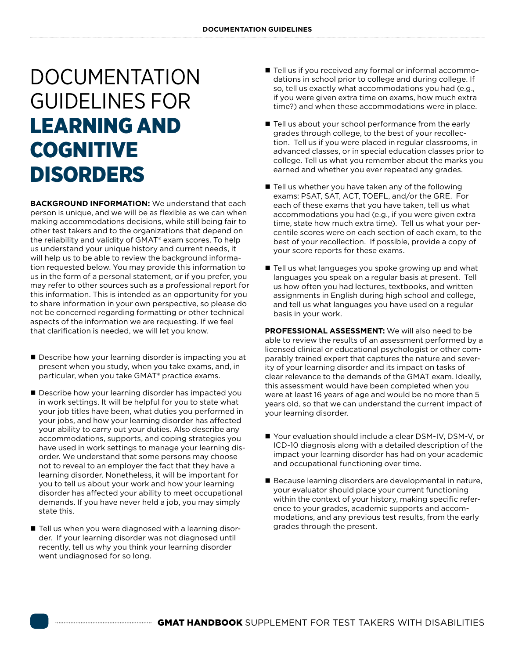## DOCUMENTATION GUIDELINES FOR LEARNING AND **COGNITIVE** DISORDERS

**BACKGROUND INFORMATION:** We understand that each person is unique, and we will be as flexible as we can when making accommodations decisions, while still being fair to other test takers and to the organizations that depend on the reliability and validity of GMAT® exam scores. To help us understand your unique history and current needs, it will help us to be able to review the background information requested below. You may provide this information to us in the form of a personal statement, or if you prefer, you may refer to other sources such as a professional report for this information. This is intended as an opportunity for you to share information in your own perspective, so please do not be concerned regarding formatting or other technical aspects of the information we are requesting. If we feel that clarification is needed, we will let you know.

- Describe how your learning disorder is impacting you at present when you study, when you take exams, and, in particular, when you take GMAT® practice exams.
- Describe how your learning disorder has impacted you in work settings. It will be helpful for you to state what your job titles have been, what duties you performed in your jobs, and how your learning disorder has affected your ability to carry out your duties. Also describe any accommodations, supports, and coping strategies you have used in work settings to manage your learning disorder. We understand that some persons may choose not to reveal to an employer the fact that they have a learning disorder. Nonetheless, it will be important for you to tell us about your work and how your learning disorder has affected your ability to meet occupational demands. If you have never held a job, you may simply state this.
- Tell us when you were diagnosed with a learning disorder. If your learning disorder was not diagnosed until recently, tell us why you think your learning disorder went undiagnosed for so long.
- Tell us if you received any formal or informal accommodations in school prior to college and during college. If so, tell us exactly what accommodations you had (e.g., if you were given extra time on exams, how much extra time?) and when these accommodations were in place.
- Tell us about your school performance from the early grades through college, to the best of your recollection. Tell us if you were placed in regular classrooms, in advanced classes, or in special education classes prior to college. Tell us what you remember about the marks you earned and whether you ever repeated any grades.
- Tell us whether you have taken any of the following exams: PSAT, SAT, ACT, TOEFL, and/or the GRE. For each of these exams that you have taken, tell us what accommodations you had (e.g., if you were given extra time, state how much extra time). Tell us what your percentile scores were on each section of each exam, to the best of your recollection. If possible, provide a copy of your score reports for these exams.
- Tell us what languages you spoke growing up and what languages you speak on a regular basis at present. Tell us how often you had lectures, textbooks, and written assignments in English during high school and college, and tell us what languages you have used on a regular basis in your work.

**PROFESSIONAL ASSESSMENT:** We will also need to be able to review the results of an assessment performed by a licensed clinical or educational psychologist or other comparably trained expert that captures the nature and severity of your learning disorder and its impact on tasks of clear relevance to the demands of the GMAT exam. Ideally, this assessment would have been completed when you were at least 16 years of age and would be no more than 5 years old, so that we can understand the current impact of your learning disorder.

- Your evaluation should include a clear DSM-IV, DSM-V, or ICD-10 diagnosis along with a detailed description of the impact your learning disorder has had on your academic and occupational functioning over time.
- Because learning disorders are developmental in nature, your evaluator should place your current functioning within the context of your history, making specific reference to your grades, academic supports and accommodations, and any previous test results, from the early grades through the present.